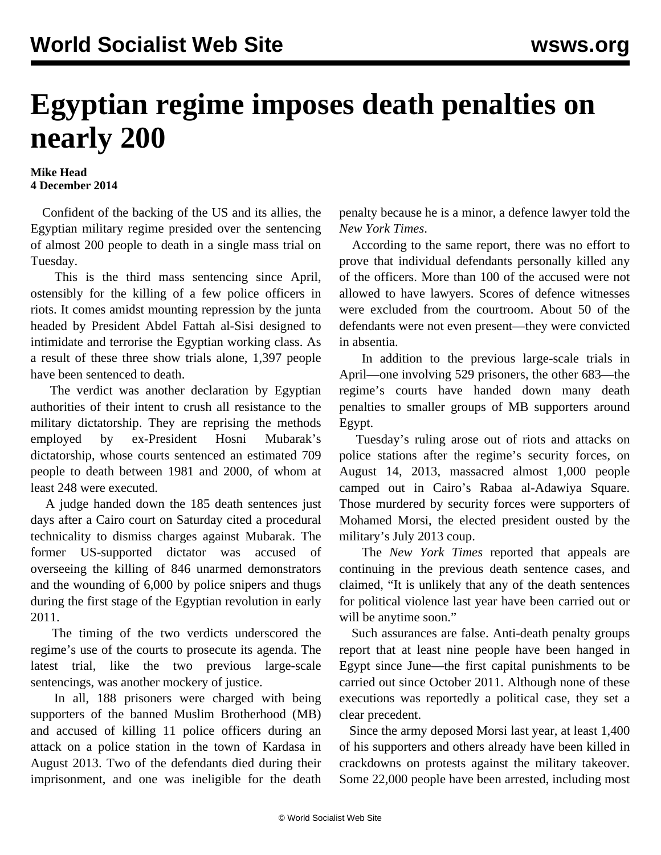## **Egyptian regime imposes death penalties on nearly 200**

## **Mike Head 4 December 2014**

 Confident of the backing of the US and its allies, the Egyptian military regime presided over the sentencing of almost 200 people to death in a single mass trial on Tuesday.

 This is the third mass sentencing since April, ostensibly for the killing of a few police officers in riots. It comes amidst mounting repression by the junta headed by President Abdel Fattah al-Sisi designed to intimidate and terrorise the Egyptian working class. As a result of these three show trials alone, 1,397 people have been sentenced to death.

 The verdict was another declaration by Egyptian authorities of their intent to crush all resistance to the military dictatorship. They are reprising the methods employed by ex-President Hosni Mubarak's dictatorship, whose courts sentenced an estimated 709 people to death between 1981 and 2000, of whom at least 248 were executed.

 A judge handed down the 185 death sentences just days after a Cairo court on Saturday cited a procedural technicality to [dismiss](/en/articles/2014/12/01/pers-d01.html) charges against Mubarak. The former US-supported dictator was accused of overseeing the killing of 846 unarmed demonstrators and the wounding of 6,000 by police snipers and thugs during the first stage of the Egyptian revolution in early 2011.

 The timing of the two verdicts underscored the regime's use of the courts to prosecute its agenda. The latest trial, like the two previous large-scale sentencings, was another mockery of justice.

 In all, 188 prisoners were charged with being supporters of the banned Muslim Brotherhood (MB) and accused of killing 11 police officers during an attack on a police station in the town of Kardasa in August 2013. Two of the defendants died during their imprisonment, and one was ineligible for the death

penalty because he is a minor, a defence lawyer told the *New York Times*.

 According to the same report, there was no effort to prove that individual defendants personally killed any of the officers. More than 100 of the accused were not allowed to have lawyers. Scores of defence witnesses were excluded from the courtroom. About 50 of the defendants were not even present—they were convicted in absentia.

 In addition to the previous large-scale trials in April—one involving 529 prisoners, the other 683—the regime's courts have handed down many death penalties to smaller groups of MB supporters around Egypt.

 Tuesday's ruling arose out of riots and attacks on police stations after the regime's security forces, on August 14, 2013, massacred almost 1,000 people camped out in Cairo's Rabaa al-Adawiya Square. Those murdered by security forces were supporters of Mohamed Morsi, the elected president ousted by the military's July 2013 coup.

 The *New York Times* reported that appeals are continuing in the previous death sentence cases, and claimed, "It is unlikely that any of the death sentences for political violence last year have been carried out or will be anytime soon."

 Such assurances are false. Anti-death penalty groups report that at least nine people have been hanged in Egypt since June—the first capital punishments to be carried out since October 2011. Although none of these executions was reportedly a political case, they set a clear precedent.

 Since the army deposed Morsi last year, at least 1,400 of his supporters and others already have been killed in crackdowns on protests against the military takeover. Some 22,000 people have been arrested, including most